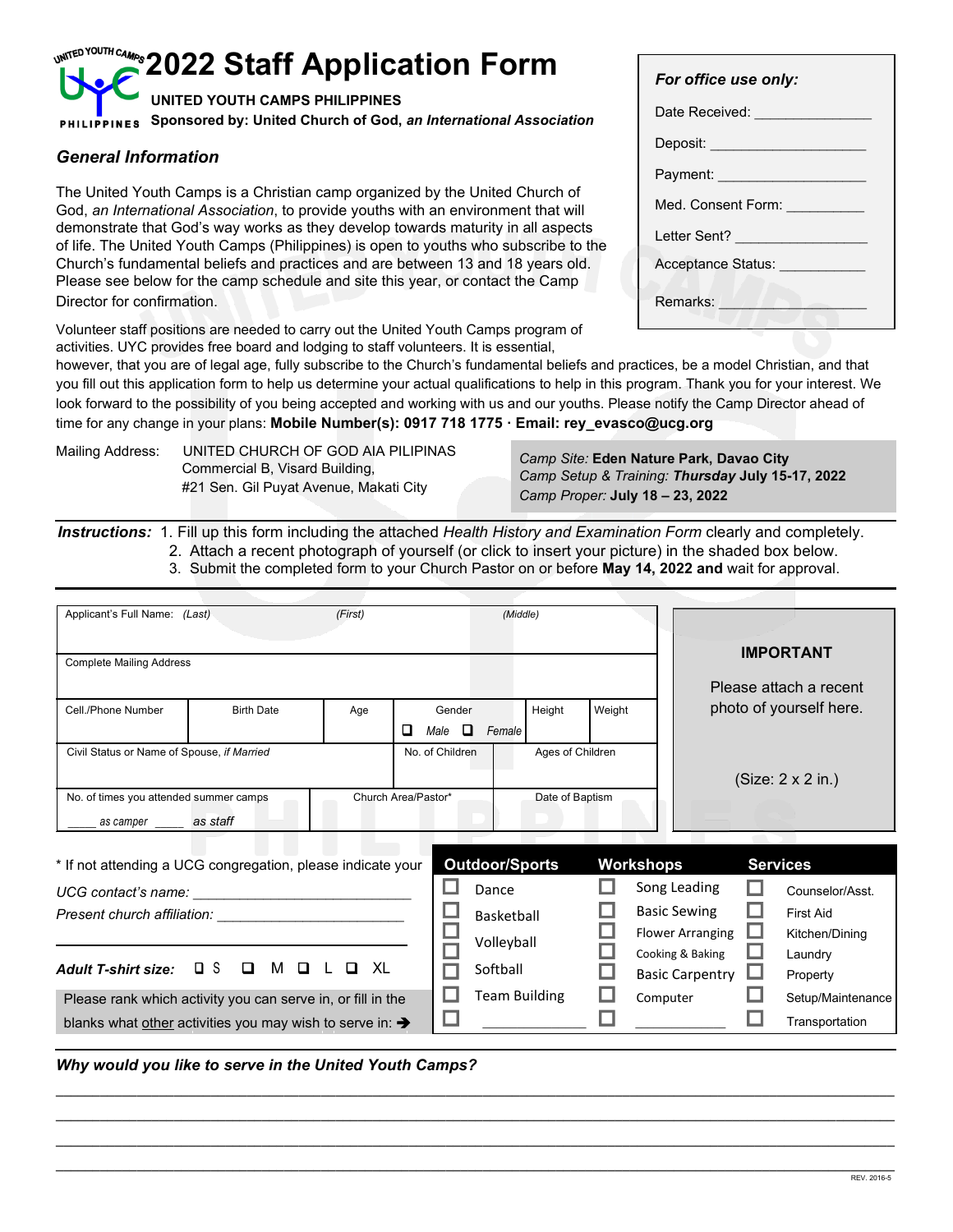# **2022 Staff Application Form** *For office use only:*

Volunteer staff positions are needed to carry out the United Youth Camps program of activities. UYC provides free board and lodging to staff volunteers. It is essential,

|                                                                                                                                                                                                                                                                                                                                                                                                                                                                                                                                                   | For office use only:                                                 |
|---------------------------------------------------------------------------------------------------------------------------------------------------------------------------------------------------------------------------------------------------------------------------------------------------------------------------------------------------------------------------------------------------------------------------------------------------------------------------------------------------------------------------------------------------|----------------------------------------------------------------------|
| <b>UNITED YOUTH CAMPS PHILIPPINES</b><br>PHILIPPINES Sponsored by: United Church of God, an International Association                                                                                                                                                                                                                                                                                                                                                                                                                             | Date Received:                                                       |
| <b>General Information</b>                                                                                                                                                                                                                                                                                                                                                                                                                                                                                                                        | Deposit:<br>Payment:                                                 |
| The United Youth Camps is a Christian camp organized by the United Church of<br>God, an International Association, to provide youths with an environment that will<br>demonstrate that God's way works as they develop towards maturity in all aspects<br>of life. The United Youth Camps (Philippines) is open to youths who subscribe to the<br>Church's fundamental beliefs and practices and are between 13 and 18 years old.<br>Please see below for the camp schedule and site this year, or contact the Camp<br>Director for confirmation. | Med. Consent Form:<br>Letter Sent?<br>Acceptance Status:<br>Remarks: |
| المستحدث ومستحدث والبروان المتلوا والموالية بالمستوف والمواطئ والمستراف والمتحاف والمتحاف والمستلوان                                                                                                                                                                                                                                                                                                                                                                                                                                              |                                                                      |

however, that you are of legal age, fully subscribe to the Church's fundamental beliefs and practices, be a model Christian, and that you fill out this application form to help us determine your actual qualifications to help in this program. Thank you for your interest. We look forward to the possibility of you being accepted and working with us and our youths. Please notify the Camp Director ahead of time for any change in your plans: **Mobile Number(s): 0917 718 1775 · Email: rey\_evasco@ucg.org**

Mailing Address: UNITED CHURCH OF GOD AIA PILIPINAS<br>Camp Site: **Eden Nature Park, Davao City** Commercial B, Visard Building,<br> *Camp Setup & Training: Thursday July 15-17, 2022<br>
<i>Comp Brener: Luly 18*, 23, 2022 #21 Sen. Gil Puyat Avenue, Makati City *Camp Proper:* **July 18 – 23, 2022**

*Instructions:* 1. Fill up this form including the attached *Health History and Examination Form* clearly and completely. 2. Attach a recent photograph of yourself (or click to insert your picture) in the shaded box below.

3. Submit the completed form to your Church Pastor on or before **May 14, 2022 and** wait for approval.

| Applicant's Full Name: (Last)                                        |                                                                                                                      | (First)             |   |                                   | (Middle)              |                  |        |           |                                             |                           |
|----------------------------------------------------------------------|----------------------------------------------------------------------------------------------------------------------|---------------------|---|-----------------------------------|-----------------------|------------------|--------|-----------|---------------------------------------------|---------------------------|
|                                                                      |                                                                                                                      |                     |   |                                   |                       |                  |        |           |                                             | <b>IMPORTANT</b>          |
| <b>Complete Mailing Address</b>                                      |                                                                                                                      |                     |   |                                   |                       |                  |        |           |                                             | Please attach a recent    |
| Cell./Phone Number                                                   | <b>Birth Date</b>                                                                                                    | Age                 |   | Gender                            |                       | Height           | Weight |           |                                             | photo of yourself here.   |
| Civil Status or Name of Spouse, if Married                           |                                                                                                                      |                     | O | $\Box$<br>Male<br>No. of Children | Female                | Ages of Children |        |           |                                             |                           |
|                                                                      |                                                                                                                      |                     |   |                                   |                       |                  |        |           |                                             | $(Size: 2 \times 2 in.)$  |
| No. of times you attended summer camps<br>as camper _______ as staff |                                                                                                                      | Church Area/Pastor* |   |                                   |                       | Date of Baptism  |        |           |                                             |                           |
|                                                                      | * If not attending a UCG congregation, please indicate your                                                          |                     |   |                                   | <b>Outdoor/Sports</b> |                  |        | Workshops |                                             | <b>Services</b>           |
| UCG contact's name:                                                  | <u> 1980 - Jan Barbara Barbara, prima popular popular popular popular popular popular popular popular popular po</u> |                     |   |                                   | Dance                 |                  |        |           | Song Leading                                | Counselor/Asst.           |
| Present church affiliation:                                          |                                                                                                                      |                     |   |                                   | Basketball            |                  |        |           | <b>Basic Sewing</b>                         | <b>First Aid</b>          |
|                                                                      |                                                                                                                      |                     |   |                                   | Volleyball            |                  |        |           | <b>Flower Arranging</b><br>Cooking & Baking | Kitchen/Dining<br>Laundry |
| <b>Adult T-shirt size:</b>                                           | $\Box$ s<br>M Q<br>◻                                                                                                 | XL                  |   |                                   | Softball              |                  |        |           | <b>Basic Carpentry</b>                      | Property                  |
|                                                                      | Please rank which activity you can serve in, or fill in the                                                          |                     |   |                                   | <b>Team Building</b>  |                  |        | Computer  |                                             | Setup/Maintenance         |
|                                                                      | blanks what other activities you may wish to serve in: $\rightarrow$                                                 |                     |   |                                   |                       |                  |        |           |                                             | Transportation            |

**\_\_\_\_\_\_\_\_\_\_\_\_\_\_\_\_\_\_\_\_\_\_\_\_\_\_\_\_\_\_\_\_\_\_\_\_\_\_\_\_\_\_\_\_\_\_\_\_\_\_\_\_\_\_\_\_\_\_\_\_\_\_\_\_\_\_\_\_\_\_\_\_\_\_\_\_\_\_\_\_\_\_\_\_\_\_\_\_\_\_\_\_\_\_\_\_\_\_\_\_\_\_\_\_\_\_\_\_\_\_\_\_\_\_ \_\_\_\_\_\_\_\_\_\_\_\_\_\_\_\_\_\_\_\_\_\_\_\_\_\_\_\_\_\_\_\_\_\_\_\_\_\_\_\_\_\_\_\_\_\_\_\_\_\_\_\_\_\_\_\_\_\_\_\_\_\_\_\_\_\_\_\_\_\_\_\_\_\_\_\_\_\_\_\_\_\_\_\_\_\_\_\_\_\_\_\_\_\_\_\_\_\_\_\_\_\_\_\_\_\_\_\_\_\_\_\_\_\_ \_\_\_\_\_\_\_\_\_\_\_\_\_\_\_\_\_\_\_\_\_\_\_\_\_\_\_\_\_\_\_\_\_\_\_\_\_\_\_\_\_\_\_\_\_\_\_\_\_\_\_\_\_\_\_\_\_\_\_\_\_\_\_\_\_\_\_\_\_\_\_\_\_\_\_\_\_\_\_\_\_\_\_\_\_\_\_\_\_\_\_\_\_\_\_\_\_\_\_\_\_\_\_\_\_\_\_\_\_\_\_\_\_\_**

*Why would you like to serve in the United Youth Camps?*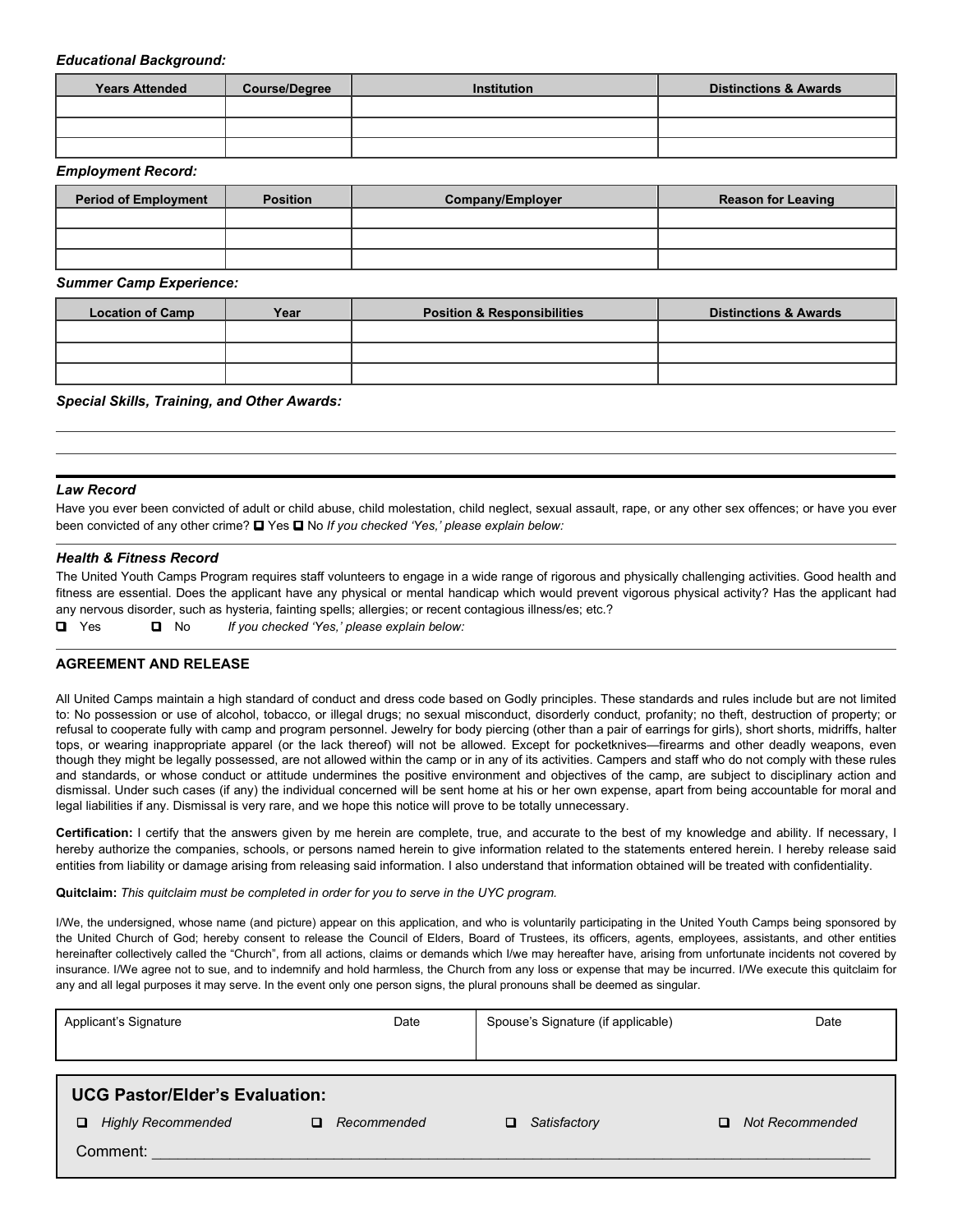#### *Educational Background:*

| <b>Years Attended</b> | <b>Course/Degree</b> | Institution | <b>Distinctions &amp; Awards</b> |
|-----------------------|----------------------|-------------|----------------------------------|
|                       |                      |             |                                  |
|                       |                      |             |                                  |
|                       |                      |             |                                  |

#### *Employment Record:*

| <b>Period of Employment</b> | <b>Position</b> | Company/Employer | <b>Reason for Leaving</b> |
|-----------------------------|-----------------|------------------|---------------------------|
|                             |                 |                  |                           |
|                             |                 |                  |                           |
|                             |                 |                  |                           |

*Summer Camp Experience:*

| <b>Location of Camp</b> | Year | <b>Position &amp; Responsibilities</b> | <b>Distinctions &amp; Awards</b> |
|-------------------------|------|----------------------------------------|----------------------------------|
|                         |      |                                        |                                  |
|                         |      |                                        |                                  |
|                         |      |                                        |                                  |

#### *Special Skills, Training, and Other Awards:*

#### *Law Record*

Have you ever been convicted of adult or child abuse, child molestation, child neglect, sexual assault, rape, or any other sex offences; or have you ever been convicted of any other crime? **I** Yes **I** No *If you checked 'Yes,' please explain below:* 

#### *Health & Fitness Record*

The United Youth Camps Program requires staff volunteers to engage in a wide range of rigorous and physically challenging activities. Good health and fitness are essential. Does the applicant have any physical or mental handicap which would prevent vigorous physical activity? Has the applicant had any nervous disorder, such as hysteria, fainting spells; allergies; or recent contagious illness/es; etc.?

Yes No *If you checked 'Yes,' please explain below:*

#### **AGREEMENT AND RELEASE**

All United Camps maintain a high standard of conduct and dress code based on Godly principles. These standards and rules include but are not limited to: No possession or use of alcohol, tobacco, or illegal drugs; no sexual misconduct, disorderly conduct, profanity; no theft, destruction of property; or refusal to cooperate fully with camp and program personnel. Jewelry for body piercing (other than a pair of earrings for girls), short shorts, midriffs, halter tops, or wearing inappropriate apparel (or the lack thereof) will not be allowed. Except for pocketknives—firearms and other deadly weapons, even though they might be legally possessed, are not allowed within the camp or in any of its activities. Campers and staff who do not comply with these rules and standards, or whose conduct or attitude undermines the positive environment and objectives of the camp, are subject to disciplinary action and dismissal. Under such cases (if any) the individual concerned will be sent home at his or her own expense, apart from being accountable for moral and legal liabilities if any. Dismissal is very rare, and we hope this notice will prove to be totally unnecessary.

**Certification:** I certify that the answers given by me herein are complete, true, and accurate to the best of my knowledge and ability. If necessary, I hereby authorize the companies, schools, or persons named herein to give information related to the statements entered herein. I hereby release said entities from liability or damage arising from releasing said information. I also understand that information obtained will be treated with confidentiality.

**Quitclaim:** *This quitclaim must be completed in order for you to serve in the UYC program.*

I/We, the undersigned, whose name (and picture) appear on this application, and who is voluntarily participating in the United Youth Camps being sponsored by the United Church of God; hereby consent to release the Council of Elders, Board of Trustees, its officers, agents, employees, assistants, and other entities hereinafter collectively called the "Church", from all actions, claims or demands which I/we may hereafter have, arising from unfortunate incidents not covered by insurance. I/We agree not to sue, and to indemnify and hold harmless, the Church from any loss or expense that may be incurred. I/We execute this quitclaim for any and all legal purposes it may serve. In the event only one person signs, the plural pronouns shall be deemed as singular.

| Applicant's Signature                 | Date              | Spouse's Signature (if applicable) | Date                 |
|---------------------------------------|-------------------|------------------------------------|----------------------|
|                                       |                   |                                    |                      |
|                                       |                   |                                    |                      |
| <b>UCG Pastor/Elder's Evaluation:</b> |                   |                                    |                      |
| □<br><b>Highly Recommended</b>        | Recommended<br>O. | Satisfactory<br>□                  | Not Recommended<br>□ |
| Comment:                              |                   |                                    |                      |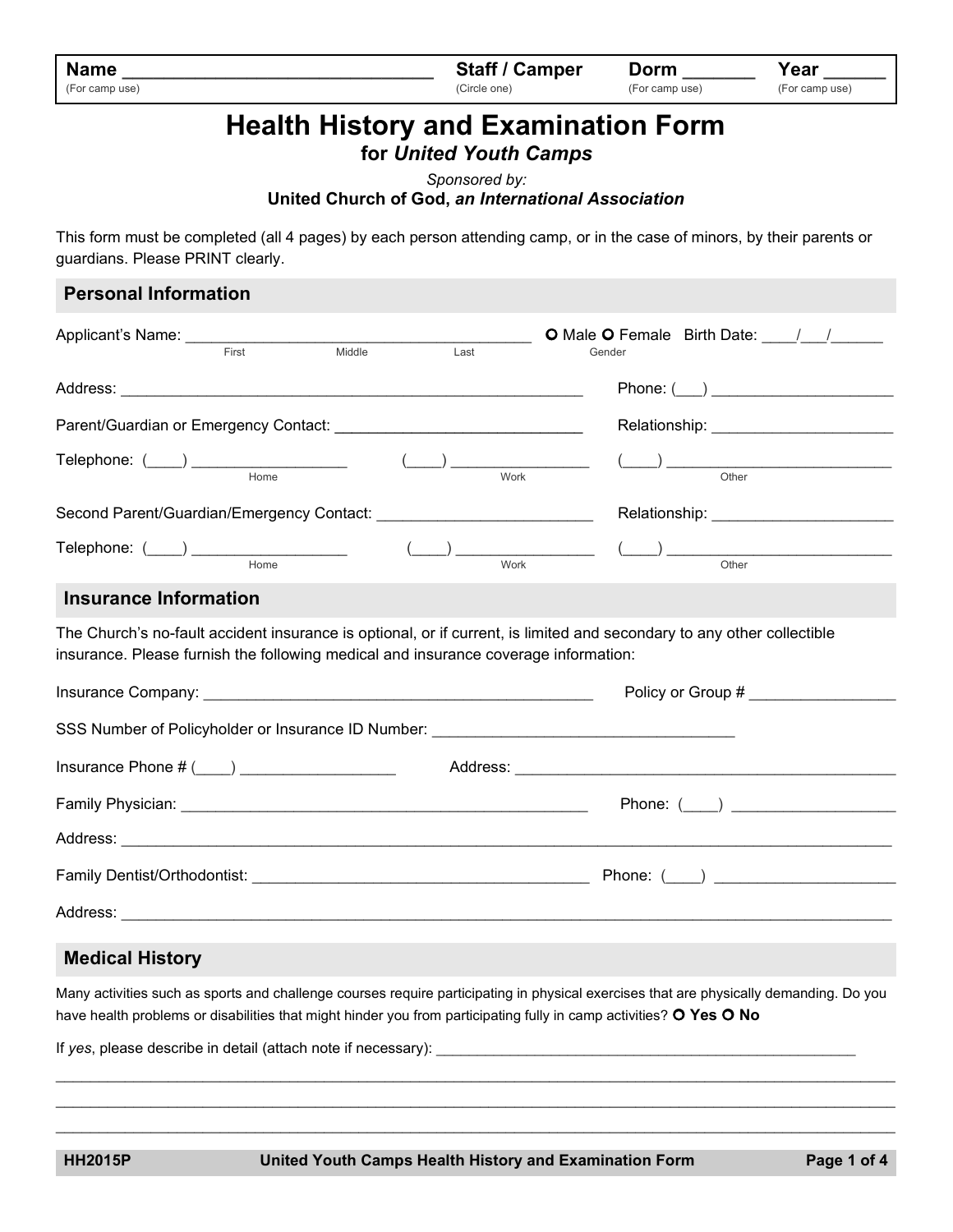| <b>Name</b>    | <b>Staff / Camper</b> | Dorm           | Year           |
|----------------|-----------------------|----------------|----------------|
| (For camp use) | (Circle one)          | (For camp use) | (For camp use) |

# **Health History and Examination Form**

**for** *United Youth Camps*

*Sponsored by:*

## **United Church of God,** *an International Association*

This form must be completed (all 4 pages) by each person attending camp, or in the case of minors, by their parents or guardians. Please PRINT clearly.

| Applicant's Name: ___________________                                                                                                                                                                                                                                                                                                                                                                  | O Male O Female Birth Date: \[\sqrtdgg \]    |
|--------------------------------------------------------------------------------------------------------------------------------------------------------------------------------------------------------------------------------------------------------------------------------------------------------------------------------------------------------------------------------------------------------|----------------------------------------------|
| First<br>Middle<br>Last                                                                                                                                                                                                                                                                                                                                                                                | Gender                                       |
|                                                                                                                                                                                                                                                                                                                                                                                                        |                                              |
|                                                                                                                                                                                                                                                                                                                                                                                                        | Relationship: _________________________      |
| $\begin{picture}(150,10) \put(0,0){\vector(1,0){100}} \put(15,0){\vector(1,0){100}} \put(15,0){\vector(1,0){100}} \put(15,0){\vector(1,0){100}} \put(15,0){\vector(1,0){100}} \put(15,0){\vector(1,0){100}} \put(15,0){\vector(1,0){100}} \put(15,0){\vector(1,0){100}} \put(15,0){\vector(1,0){100}} \put(15,0){\vector(1,0){100}} \put(15,0){\vector(1,0){100}}$<br>$\frac{(\qquad)}{(\qquad)}$ Work | $\underbrace{\hspace{1.5cm}}_{\text{Other}}$ |
|                                                                                                                                                                                                                                                                                                                                                                                                        |                                              |
| $\begin{picture}(150,10) \put(0,0){\vector(1,0){100}} \put(150,0){\vector(1,0){100}} \put(150,0){\vector(1,0){100}} \put(150,0){\vector(1,0){100}} \put(150,0){\vector(1,0){100}} \put(150,0){\vector(1,0){100}} \put(150,0){\vector(1,0){100}} \put(150,0){\vector(1,0){100}} \put(150,0){\vector(1,0){100}} \put(150,0){\vector(1,0){100}} \put(150,0){\$                                            |                                              |
|                                                                                                                                                                                                                                                                                                                                                                                                        |                                              |
| <b>Insurance Information</b>                                                                                                                                                                                                                                                                                                                                                                           |                                              |
|                                                                                                                                                                                                                                                                                                                                                                                                        |                                              |
|                                                                                                                                                                                                                                                                                                                                                                                                        |                                              |
|                                                                                                                                                                                                                                                                                                                                                                                                        |                                              |
|                                                                                                                                                                                                                                                                                                                                                                                                        |                                              |
|                                                                                                                                                                                                                                                                                                                                                                                                        |                                              |
|                                                                                                                                                                                                                                                                                                                                                                                                        |                                              |
| The Church's no-fault accident insurance is optional, or if current, is limited and secondary to any other collectible<br>insurance. Please furnish the following medical and insurance coverage information:<br>SSS Number of Policyholder or Insurance ID Number: _____________________________                                                                                                      | Policy or Group #                            |

# **Medical History**

Many activities such as sports and challenge courses require participating in physical exercises that are physically demanding. Do you have health problems or disabilities that might hinder you from participating fully in camp activities? **Yes No**

 $\mathcal{L}_\mathcal{L} = \{ \mathcal{L}_\mathcal{L} = \{ \mathcal{L}_\mathcal{L} = \{ \mathcal{L}_\mathcal{L} = \{ \mathcal{L}_\mathcal{L} = \{ \mathcal{L}_\mathcal{L} = \{ \mathcal{L}_\mathcal{L} = \{ \mathcal{L}_\mathcal{L} = \{ \mathcal{L}_\mathcal{L} = \{ \mathcal{L}_\mathcal{L} = \{ \mathcal{L}_\mathcal{L} = \{ \mathcal{L}_\mathcal{L} = \{ \mathcal{L}_\mathcal{L} = \{ \mathcal{L}_\mathcal{L} = \{ \mathcal{L}_\mathcal{$ \_\_\_\_\_\_\_\_\_\_\_\_\_\_\_\_\_\_\_\_\_\_\_\_\_\_\_\_\_\_\_\_\_\_\_\_\_\_\_\_\_\_\_\_\_\_\_\_\_\_\_\_\_\_\_\_\_\_\_\_\_\_\_\_\_\_\_\_\_\_\_\_\_\_\_\_\_\_\_\_\_\_\_\_\_\_\_\_\_\_\_\_\_\_\_\_\_  $\mathcal{L}_\mathcal{L} = \{ \mathcal{L}_\mathcal{L} = \{ \mathcal{L}_\mathcal{L} = \{ \mathcal{L}_\mathcal{L} = \{ \mathcal{L}_\mathcal{L} = \{ \mathcal{L}_\mathcal{L} = \{ \mathcal{L}_\mathcal{L} = \{ \mathcal{L}_\mathcal{L} = \{ \mathcal{L}_\mathcal{L} = \{ \mathcal{L}_\mathcal{L} = \{ \mathcal{L}_\mathcal{L} = \{ \mathcal{L}_\mathcal{L} = \{ \mathcal{L}_\mathcal{L} = \{ \mathcal{L}_\mathcal{L} = \{ \mathcal{L}_\mathcal{$ 

If yes, please describe in detail (attach note if necessary):

**HH2015P United Youth Camps Health History and Examination Form Page 1 of 4**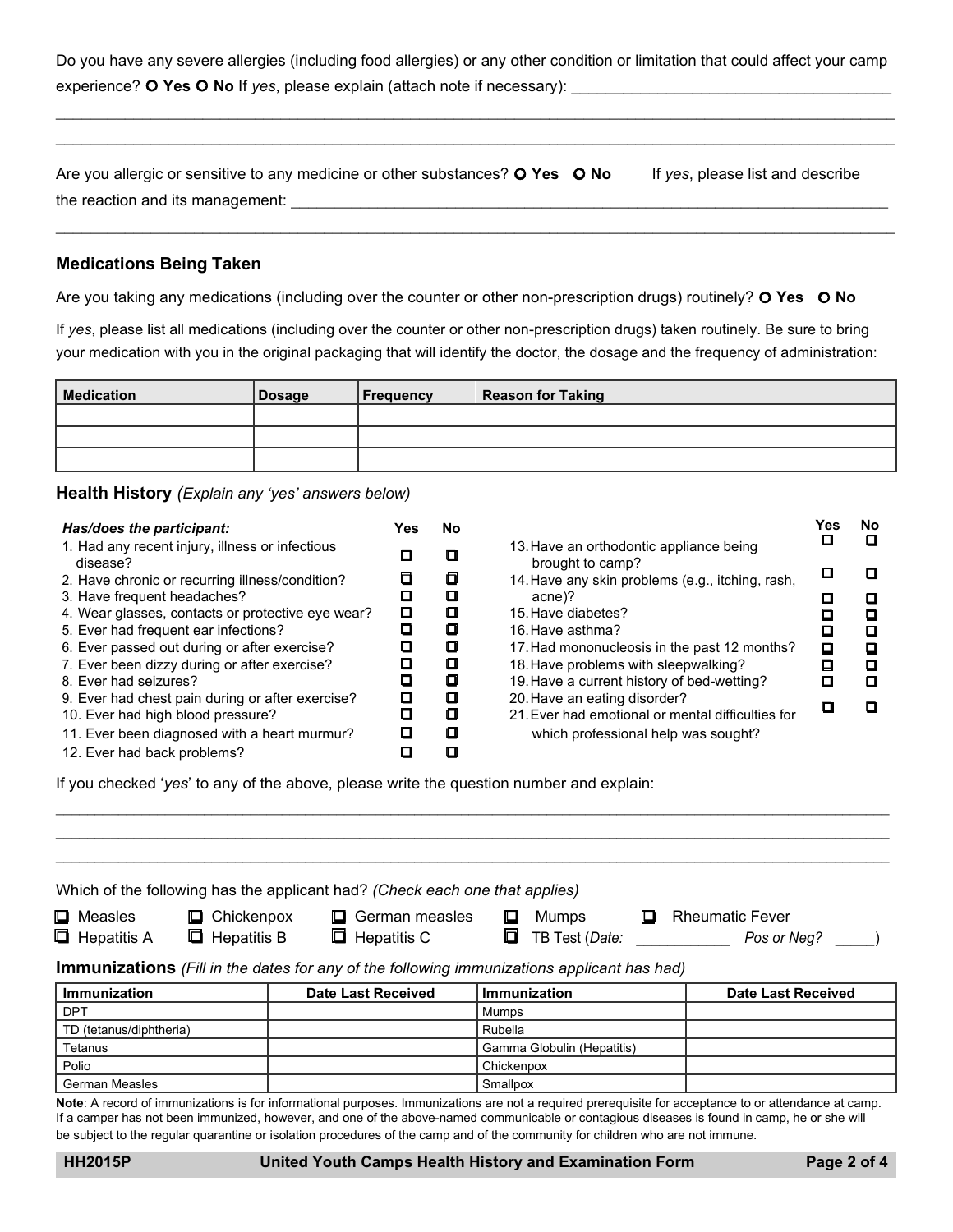Do you have any severe allergies (including food allergies) or any other condition or limitation that could affect your camp experience? O Yes O No If *yes*, please explain (attach note if necessary):

 $\mathcal{L}_\mathcal{L} = \{ \mathcal{L}_\mathcal{L} = \{ \mathcal{L}_\mathcal{L} = \{ \mathcal{L}_\mathcal{L} = \{ \mathcal{L}_\mathcal{L} = \{ \mathcal{L}_\mathcal{L} = \{ \mathcal{L}_\mathcal{L} = \{ \mathcal{L}_\mathcal{L} = \{ \mathcal{L}_\mathcal{L} = \{ \mathcal{L}_\mathcal{L} = \{ \mathcal{L}_\mathcal{L} = \{ \mathcal{L}_\mathcal{L} = \{ \mathcal{L}_\mathcal{L} = \{ \mathcal{L}_\mathcal{L} = \{ \mathcal{L}_\mathcal{$ \_\_\_\_\_\_\_\_\_\_\_\_\_\_\_\_\_\_\_\_\_\_\_\_\_\_\_\_\_\_\_\_\_\_\_\_\_\_\_\_\_\_\_\_\_\_\_\_\_\_\_\_\_\_\_\_\_\_\_\_\_\_\_\_\_\_\_\_\_\_\_\_\_\_\_\_\_\_\_\_\_\_\_\_\_\_\_\_\_\_\_\_\_\_\_\_\_

|                                  | Are you allergic or sensitive to any medicine or other substances? O Yes O No | If yes, please list and describe |
|----------------------------------|-------------------------------------------------------------------------------|----------------------------------|
| the reaction and its management: |                                                                               |                                  |

\_\_\_\_\_\_\_\_\_\_\_\_\_\_\_\_\_\_\_\_\_\_\_\_\_\_\_\_\_\_\_\_\_\_\_\_\_\_\_\_\_\_\_\_\_\_\_\_\_\_\_\_\_\_\_\_\_\_\_\_\_\_\_\_\_\_\_\_\_\_\_\_\_\_\_\_\_\_\_\_\_\_\_\_\_\_\_\_\_\_\_\_\_\_\_\_\_

## **Medications Being Taken**

Are you taking any medications (including over the counter or other non-prescription drugs) routinely? **Yes No**

If *yes*, please list all medications (including over the counter or other non-prescription drugs) taken routinely. Be sure to bring your medication with you in the original packaging that will identify the doctor, the dosage and the frequency of administration:

| <b>Medication</b> | Dosage | <b>Frequency</b> | <b>Reason for Taking</b> |
|-------------------|--------|------------------|--------------------------|
|                   |        |                  |                          |
|                   |        |                  |                          |
|                   |        |                  |                          |

**Health History** *(Explain any 'yes' answers below)*

| Has/does the participant:                                   | Yes | No. |                                                             | 'es | No |
|-------------------------------------------------------------|-----|-----|-------------------------------------------------------------|-----|----|
| 1. Had any recent injury, illness or infectious<br>disease? |     |     | 13. Have an orthodontic appliance being<br>brought to camp? |     |    |
| 2. Have chronic or recurring illness/condition?             |     | o   | 14. Have any skin problems (e.g., itching, rash,            |     |    |
| 3. Have frequent headaches?                                 |     | П   | acne)?                                                      |     |    |
| 4. Wear glasses, contacts or protective eye wear?           | ப   | О   | 15. Have diabetes?                                          |     | О  |
| 5. Ever had frequent ear infections?                        |     | О   | 16. Have asthma?                                            |     | П  |
| 6. Ever passed out during or after exercise?                |     | О   | 17. Had mononucleosis in the past 12 months?                | п   | О  |
| 7. Ever been dizzy during or after exercise?                |     | О   | 18. Have problems with sleepwalking?                        |     | О  |
| 8. Ever had seizures?                                       |     | Ω   | 19. Have a current history of bed-wetting?                  |     | П  |
| 9. Ever had chest pain during or after exercise?            |     | О   | 20. Have an eating disorder?                                |     |    |
| 10. Ever had high blood pressure?                           |     | Ο   | 21. Ever had emotional or mental difficulties for           |     |    |
| 11. Ever been diagnosed with a heart murmur?                |     | α   | which professional help was sought?                         |     |    |
| 12. Ever had back problems?                                 |     |     |                                                             |     |    |

If you checked '*yes*' to any of the above, please write the question number and explain:

| <b>Q</b> Measles        | $\Box$ Chickenpox    | Which of the following has the applicant had? (Check each one that applies)<br>German measles<br>O | Mumps<br>L<br>IJ           | <b>Rheumatic Fever</b>    |
|-------------------------|----------------------|----------------------------------------------------------------------------------------------------|----------------------------|---------------------------|
| <b>E</b> Hepatitis A    | <b>E</b> Hepatitis B | $\Box$ Hepatitis C                                                                                 | 0<br>TB Test (Date:        | Pos or Neg?               |
|                         |                      | <b>Immunizations</b> (Fill in the dates for any of the following immunizations applicant has had)  |                            |                           |
| <b>Immunization</b>     |                      | <b>Date Last Received</b>                                                                          | <b>Immunization</b>        | <b>Date Last Received</b> |
| <b>DPT</b>              |                      |                                                                                                    | Mumps                      |                           |
| TD (tetanus/diphtheria) |                      |                                                                                                    | Rubella                    |                           |
| Tetanus                 |                      |                                                                                                    | Gamma Globulin (Hepatitis) |                           |
| Polio                   |                      |                                                                                                    | Chickenpox                 |                           |
| <b>German Measles</b>   |                      |                                                                                                    | Smallpox                   |                           |

 $\ldots$  . The contribution of the contribution of the contribution of the contribution of the contribution of the contribution of the contribution of the contribution of the contribution of the contribution of the contribut  $\ldots$  . The contribution of the contribution of the contribution of the contribution of the contribution of the contribution of the contribution of the contribution of the contribution of the contribution of the contribut

**Note**: A record of immunizations is for informational purposes. Immunizations are not a required prerequisite for acceptance to or attendance at camp. If a camper has not been immunized, however, and one of the above-named communicable or contagious diseases is found in camp, he or she will be subject to the regular quarantine or isolation procedures of the camp and of the community for children who are not immune.

**HH2015P United Youth Camps Health History and Examination Form Page 2 of 4**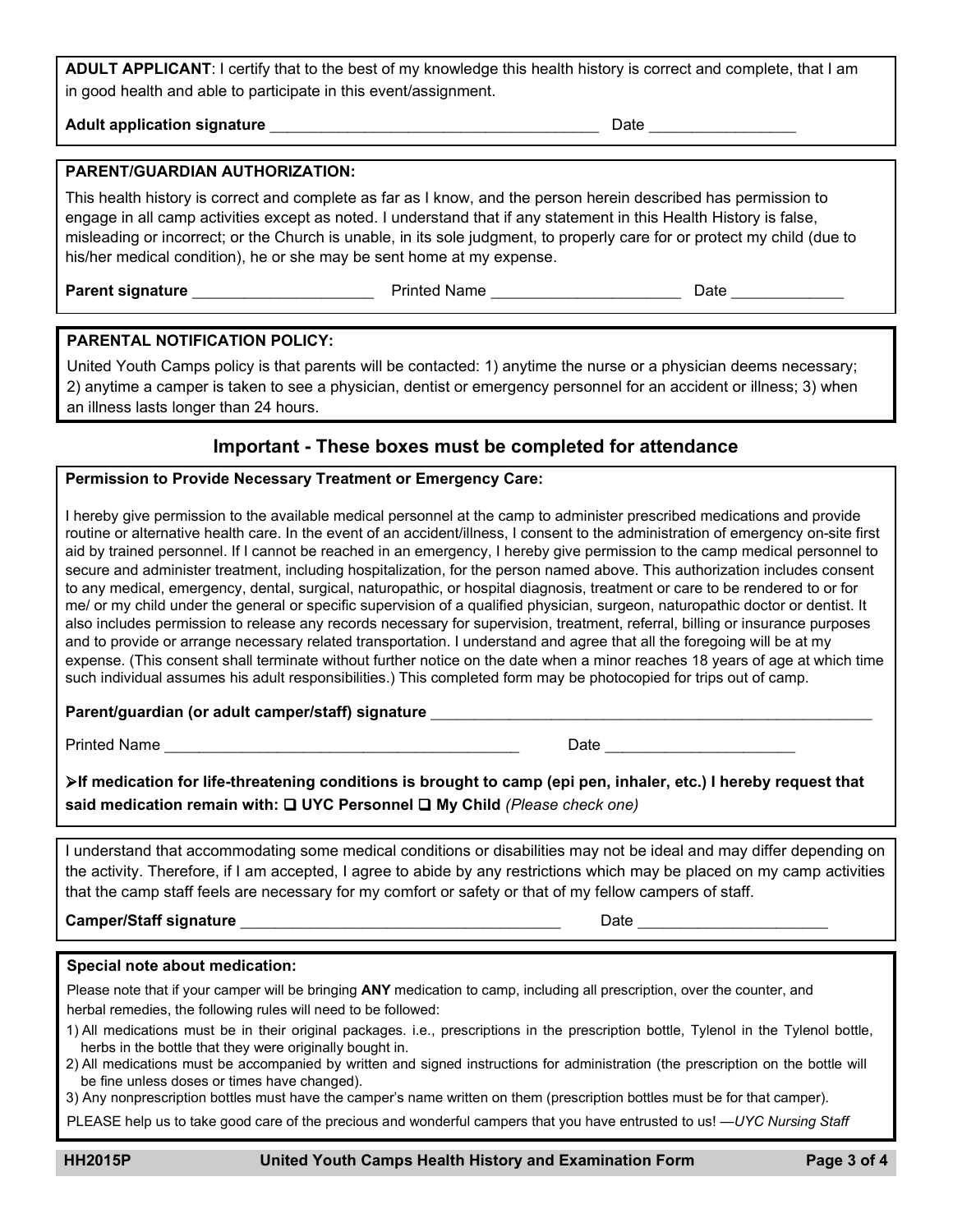**ADULT APPLICANT**: I certify that to the best of my knowledge this health history is correct and complete, that I am in good health and able to participate in this event/assignment.

**Adult application signature** \_\_\_\_\_\_\_\_\_\_\_\_\_\_\_\_\_\_\_\_\_\_\_\_\_\_\_\_\_\_\_\_\_\_\_\_\_\_Date \_\_\_\_\_\_\_\_\_\_\_\_\_\_\_\_\_

# **PARENT/GUARDIAN AUTHORIZATION:**

This health history is correct and complete as far as I know, and the person herein described has permission to engage in all camp activities except as noted. I understand that if any statement in this Health History is false, misleading or incorrect; or the Church is unable, in its sole judgment, to properly care for or protect my child (due to his/her medical condition), he or she may be sent home at my expense.

**Parent signature** \_\_\_\_\_\_\_\_\_\_\_\_\_\_\_\_\_\_\_\_\_Printed Name \_\_\_\_\_\_\_\_\_\_\_\_\_\_\_\_\_\_\_\_\_\_Date \_\_\_\_\_\_\_\_\_\_\_\_\_

### **PARENTAL NOTIFICATION POLICY:**

United Youth Camps policy is that parents will be contacted: 1) anytime the nurse or a physician deems necessary; 2) anytime a camper is taken to see a physician, dentist or emergency personnel for an accident or illness; 3) when an illness lasts longer than 24 hours.

# **Important - These boxes must be completed for attendance**

# **Permission to Provide Necessary Treatment or Emergency Care:**

I hereby give permission to the available medical personnel at the camp to administer prescribed medications and provide routine or alternative health care. In the event of an accident/illness, I consent to the administration of emergency on-site first aid by trained personnel. If I cannot be reached in an emergency, I hereby give permission to the camp medical personnel to secure and administer treatment, including hospitalization, for the person named above. This authorization includes consent to any medical, emergency, dental, surgical, naturopathic, or hospital diagnosis, treatment or care to be rendered to or for me/ or my child under the general or specific supervision of a qualified physician, surgeon, naturopathic doctor or dentist. It also includes permission to release any records necessary for supervision, treatment, referral, billing or insurance purposes and to provide or arrange necessary related transportation. I understand and agree that all the foregoing will be at my expense. (This consent shall terminate without further notice on the date when a minor reaches 18 years of age at which time such individual assumes his adult responsibilities.) This completed form may be photocopied for trips out of camp.

### **Parent/guardian (or adult camper/staff) signature** \_\_\_\_\_\_\_\_\_\_\_\_\_\_\_\_\_\_\_\_\_\_\_\_\_\_\_\_\_\_\_\_\_\_\_\_\_\_\_\_\_\_\_\_\_\_\_\_\_\_\_

Printed Name \_\_\_\_\_\_\_\_\_\_\_\_\_\_\_\_\_\_\_\_\_\_\_\_\_\_\_\_\_\_\_\_\_\_\_\_\_\_\_\_\_ Date \_\_\_\_\_\_\_\_\_\_\_\_\_\_\_\_\_\_\_\_\_\_

**If medication for life-threatening conditions is brought to camp (epi pen, inhaler, etc.) I hereby request that** said medication remain with: **□ UYC Personnel □ My Child** (Please check one)

I understand that accommodating some medical conditions or disabilities may not be ideal and may differ depending on the activity. Therefore, if I am accepted, I agree to abide by any restrictions which may be placed on my camp activities that the camp staff feels are necessary for my comfort or safety or that of my fellow campers of staff.

**Camper/Staff signature** \_\_\_\_\_\_\_\_\_\_\_\_\_\_\_\_\_\_\_\_\_\_\_\_\_\_\_\_\_\_\_\_\_\_\_\_\_ Date \_\_\_\_\_\_\_\_\_\_\_\_\_\_\_\_\_\_\_\_\_\_

#### **Special note about medication:**

Please note that if your camper will be bringing **ANY** medication to camp, including all prescription, over the counter, and herbal remedies, the following rules will need to be followed:

- 1) All medications must be in their original packages. i.e., prescriptions in the prescription bottle, Tylenol in the Tylenol bottle, herbs in the bottle that they were originally bought in.
- 2) All medications must be accompanied by written and signed instructions for administration (the prescription on the bottle will be fine unless doses or times have changed).
- 3) Any nonprescription bottles must have the camper's name written on them (prescription bottles must be for that camper).

PLEASE help us to take good care of the precious and wonderful campers that you have entrusted to us! —*UYC Nursing Staff*